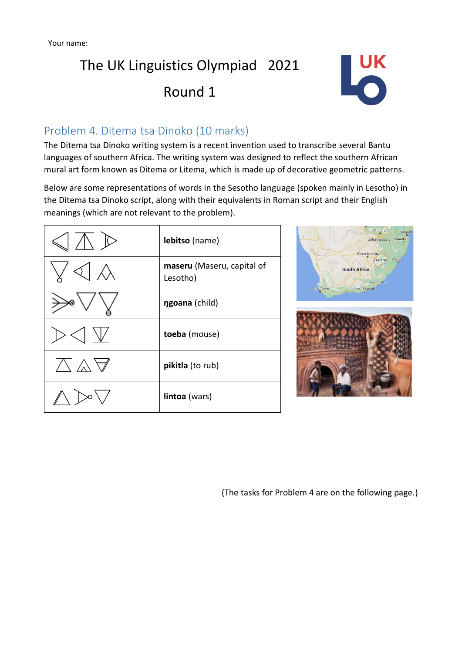

### Problem 4. Ditema tsa Dinoko (10 marks)

The Ditema tsa Dinoko writing system is a recent invention used to transcribe several Bantu languages of southern Africa. The writing system was designed to reflect the southern African mural art form known as Ditema or Litema, which is made up of decorative geometric patterns.

Below are some representations of words in the Sesotho language (spoken mainly in Lesotho) in the Ditema tsa Dinoko script, along with their equivalents in Roman script and their English meanings (which are not relevant to the problem).

| lebitso (name)                         |
|----------------------------------------|
| maseru (Maseru, capital of<br>Lesotho) |
| ngoana (child)                         |
| toeba (mouse)                          |
| pikitla (to rub)                       |
| lintoa (wars)                          |
|                                        |



(The tasks for Problem 4 are on the following page.)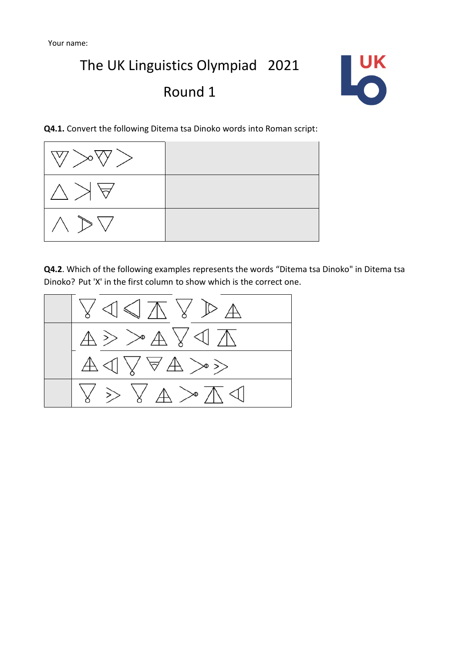

**Q4.1.** Convert the following Ditema tsa Dinoko words into Roman script:



**Q4.2**. Which of the following examples represents the words "Ditema tsa Dinoko" in Ditema tsa Dinoko? Put 'X' in the first column to show which is the correct one.

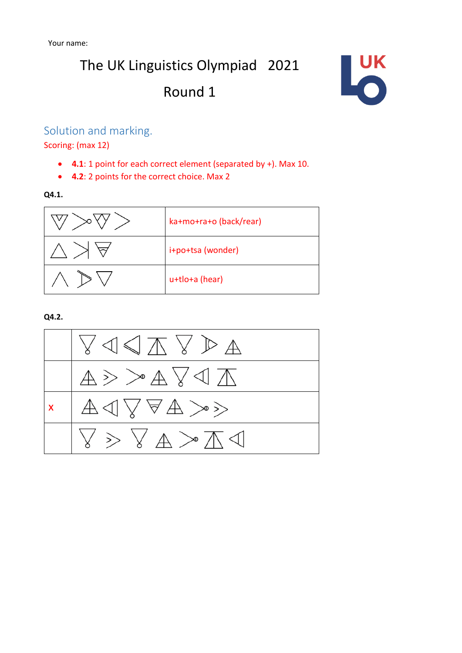

#### Solution and marking.

Scoring: (max 12)

- **4.1**: 1 point for each correct element (separated by +). Max 10.
- **4.2**: 2 points for the correct choice. Max 2

**Q4.1.** 



**Q4.2.**

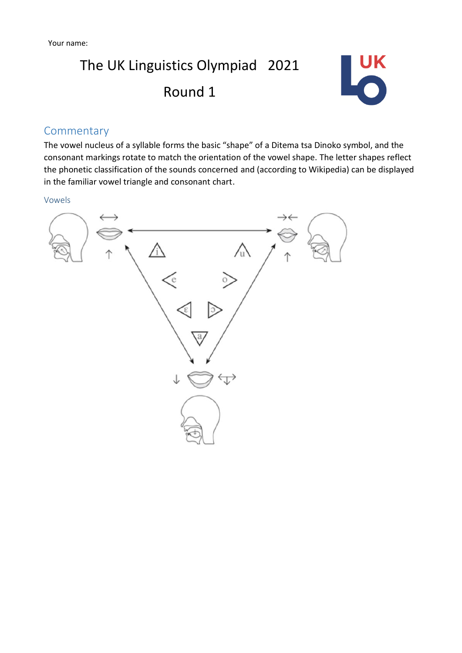

#### Commentary

The vowel nucleus of a syllable forms the basic "shape" of a Ditema tsa Dinoko symbol, and the consonant markings rotate to match the orientation of the vowel shape. The letter shapes reflect the phonetic classification of the sounds concerned and (according to Wikipedia) can be displayed in the familiar vowel triangle and consonant chart.

Vowels